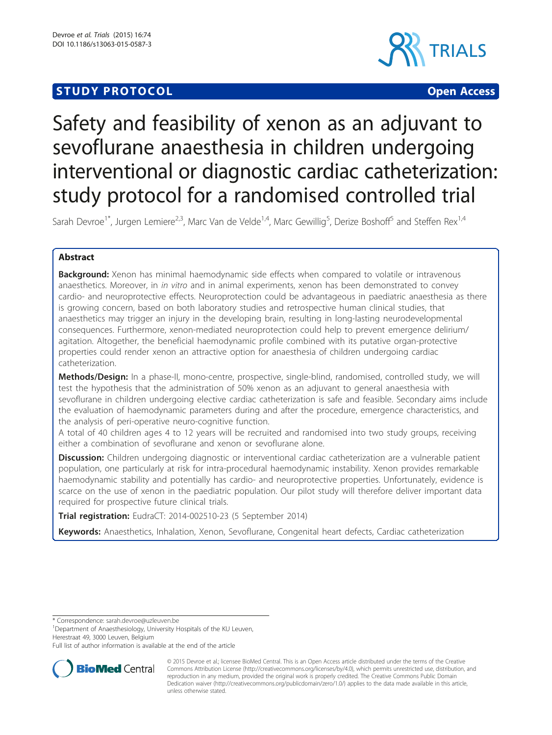# **STUDY PROTOCOL CONSUMING THE RESERVE ACCESS**



# Safety and feasibility of xenon as an adjuvant to sevoflurane anaesthesia in children undergoing interventional or diagnostic cardiac catheterization: study protocol for a randomised controlled trial

Sarah Devroe<sup>1\*</sup>, Jurgen Lemiere<sup>2,3</sup>, Marc Van de Velde<sup>1,4</sup>, Marc Gewillig<sup>5</sup>, Derize Boshoff<sup>5</sup> and Steffen Rex<sup>1,4</sup>

# Abstract

**Background:** Xenon has minimal haemodynamic side effects when compared to volatile or intravenous anaesthetics. Moreover, in in vitro and in animal experiments, xenon has been demonstrated to convey cardio- and neuroprotective effects. Neuroprotection could be advantageous in paediatric anaesthesia as there is growing concern, based on both laboratory studies and retrospective human clinical studies, that anaesthetics may trigger an injury in the developing brain, resulting in long-lasting neurodevelopmental consequences. Furthermore, xenon-mediated neuroprotection could help to prevent emergence delirium/ agitation. Altogether, the beneficial haemodynamic profile combined with its putative organ-protective properties could render xenon an attractive option for anaesthesia of children undergoing cardiac catheterization.

Methods/Design: In a phase-II, mono-centre, prospective, single-blind, randomised, controlled study, we will test the hypothesis that the administration of 50% xenon as an adjuvant to general anaesthesia with sevoflurane in children undergoing elective cardiac catheterization is safe and feasible. Secondary aims include the evaluation of haemodynamic parameters during and after the procedure, emergence characteristics, and the analysis of peri-operative neuro-cognitive function.

A total of 40 children ages 4 to 12 years will be recruited and randomised into two study groups, receiving either a combination of sevoflurane and xenon or sevoflurane alone.

Discussion: Children undergoing diagnostic or interventional cardiac catheterization are a vulnerable patient population, one particularly at risk for intra-procedural haemodynamic instability. Xenon provides remarkable haemodynamic stability and potentially has cardio- and neuroprotective properties. Unfortunately, evidence is scarce on the use of xenon in the paediatric population. Our pilot study will therefore deliver important data required for prospective future clinical trials.

Trial registration: [EudraCT: 2014-002510-23](https://www.clinicaltrialsregister.eu/ctr-search/search?query=2014-002510-23) (5 September 2014)

Keywords: Anaesthetics, Inhalation, Xenon, Sevoflurane, Congenital heart defects, Cardiac catheterization

\* Correspondence: [sarah.devroe@uzleuven.be](mailto:sarah.devroe@uzleuven.be) <sup>1</sup>

<sup>1</sup>Department of Anaesthesiology, University Hospitals of the KU Leuven, Herestraat 49, 3000 Leuven, Belgium

Full list of author information is available at the end of the article



<sup>© 2015</sup> Devroe et al.; licensee BioMed Central. This is an Open Access article distributed under the terms of the Creative Commons Attribution License [\(http://creativecommons.org/licenses/by/4.0\)](http://creativecommons.org/licenses/by/4.0), which permits unrestricted use, distribution, and reproduction in any medium, provided the original work is properly credited. The Creative Commons Public Domain Dedication waiver [\(http://creativecommons.org/publicdomain/zero/1.0/](http://creativecommons.org/publicdomain/zero/1.0/)) applies to the data made available in this article, unless otherwise stated.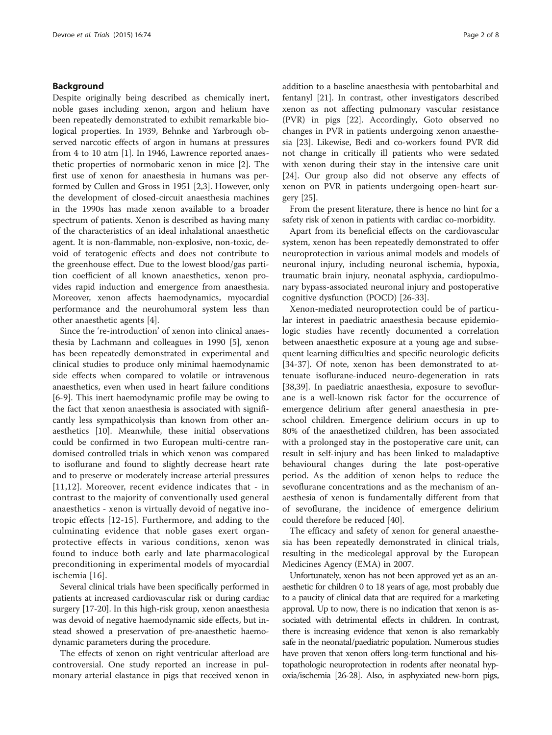# Background

Despite originally being described as chemically inert, noble gases including xenon, argon and helium have been repeatedly demonstrated to exhibit remarkable biological properties. In 1939, Behnke and Yarbrough observed narcotic effects of argon in humans at pressures from 4 to 10 atm [\[1\]](#page-6-0). In 1946, Lawrence reported anaesthetic properties of normobaric xenon in mice [\[2](#page-6-0)]. The first use of xenon for anaesthesia in humans was performed by Cullen and Gross in 1951 [\[2,3\]](#page-6-0). However, only the development of closed-circuit anaesthesia machines in the 1990s has made xenon available to a broader spectrum of patients. Xenon is described as having many of the characteristics of an ideal inhalational anaesthetic agent. It is non-flammable, non-explosive, non-toxic, devoid of teratogenic effects and does not contribute to the greenhouse effect. Due to the lowest blood/gas partition coefficient of all known anaesthetics, xenon provides rapid induction and emergence from anaesthesia. Moreover, xenon affects haemodynamics, myocardial performance and the neurohumoral system less than other anaesthetic agents [[4\]](#page-6-0).

Since the 're-introduction' of xenon into clinical anaesthesia by Lachmann and colleagues in 1990 [[5\]](#page-6-0), xenon has been repeatedly demonstrated in experimental and clinical studies to produce only minimal haemodynamic side effects when compared to volatile or intravenous anaesthetics, even when used in heart failure conditions [[6-9](#page-6-0)]. This inert haemodynamic profile may be owing to the fact that xenon anaesthesia is associated with significantly less sympathicolysis than known from other anaesthetics [[10\]](#page-6-0). Meanwhile, these initial observations could be confirmed in two European multi-centre randomised controlled trials in which xenon was compared to isoflurane and found to slightly decrease heart rate and to preserve or moderately increase arterial pressures [[11](#page-6-0),[12\]](#page-6-0). Moreover, recent evidence indicates that - in contrast to the majority of conventionally used general anaesthetics - xenon is virtually devoid of negative inotropic effects [[12](#page-6-0)-[15](#page-6-0)]. Furthermore, and adding to the culminating evidence that noble gases exert organprotective effects in various conditions, xenon was found to induce both early and late pharmacological preconditioning in experimental models of myocardial ischemia [[16](#page-7-0)].

Several clinical trials have been specifically performed in patients at increased cardiovascular risk or during cardiac surgery [[17-20\]](#page-7-0). In this high-risk group, xenon anaesthesia was devoid of negative haemodynamic side effects, but instead showed a preservation of pre-anaesthetic haemodynamic parameters during the procedure.

The effects of xenon on right ventricular afterload are controversial. One study reported an increase in pulmonary arterial elastance in pigs that received xenon in

addition to a baseline anaesthesia with pentobarbital and fentanyl [\[21\]](#page-7-0). In contrast, other investigators described xenon as not affecting pulmonary vascular resistance (PVR) in pigs [\[22](#page-7-0)]. Accordingly, Goto observed no changes in PVR in patients undergoing xenon anaesthesia [[23\]](#page-7-0). Likewise, Bedi and co-workers found PVR did not change in critically ill patients who were sedated with xenon during their stay in the intensive care unit [[24\]](#page-7-0). Our group also did not observe any effects of xenon on PVR in patients undergoing open-heart surgery [\[25\]](#page-7-0).

From the present literature, there is hence no hint for a safety risk of xenon in patients with cardiac co-morbidity.

Apart from its beneficial effects on the cardiovascular system, xenon has been repeatedly demonstrated to offer neuroprotection in various animal models and models of neuronal injury, including neuronal ischemia, hypoxia, traumatic brain injury, neonatal asphyxia, cardiopulmonary bypass-associated neuronal injury and postoperative cognitive dysfunction (POCD) [\[26](#page-7-0)-[33\]](#page-7-0).

Xenon-mediated neuroprotection could be of particular interest in paediatric anaesthesia because epidemiologic studies have recently documented a correlation between anaesthetic exposure at a young age and subsequent learning difficulties and specific neurologic deficits [[34-37](#page-7-0)]. Of note, xenon has been demonstrated to attenuate isoflurane-induced neuro-degeneration in rats [[38,39\]](#page-7-0). In paediatric anaesthesia, exposure to sevoflurane is a well-known risk factor for the occurrence of emergence delirium after general anaesthesia in preschool children. Emergence delirium occurs in up to 80% of the anaesthetized children, has been associated with a prolonged stay in the postoperative care unit, can result in self-injury and has been linked to maladaptive behavioural changes during the late post-operative period. As the addition of xenon helps to reduce the sevoflurane concentrations and as the mechanism of anaesthesia of xenon is fundamentally different from that of sevoflurane, the incidence of emergence delirium could therefore be reduced [\[40](#page-7-0)].

The efficacy and safety of xenon for general anaesthesia has been repeatedly demonstrated in clinical trials, resulting in the medicolegal approval by the European Medicines Agency (EMA) in 2007.

Unfortunately, xenon has not been approved yet as an anaesthetic for children 0 to 18 years of age, most probably due to a paucity of clinical data that are required for a marketing approval. Up to now, there is no indication that xenon is associated with detrimental effects in children. In contrast, there is increasing evidence that xenon is also remarkably safe in the neonatal/paediatric population. Numerous studies have proven that xenon offers long-term functional and histopathologic neuroprotection in rodents after neonatal hypoxia/ischemia [\[26-28\]](#page-7-0). Also, in asphyxiated new-born pigs,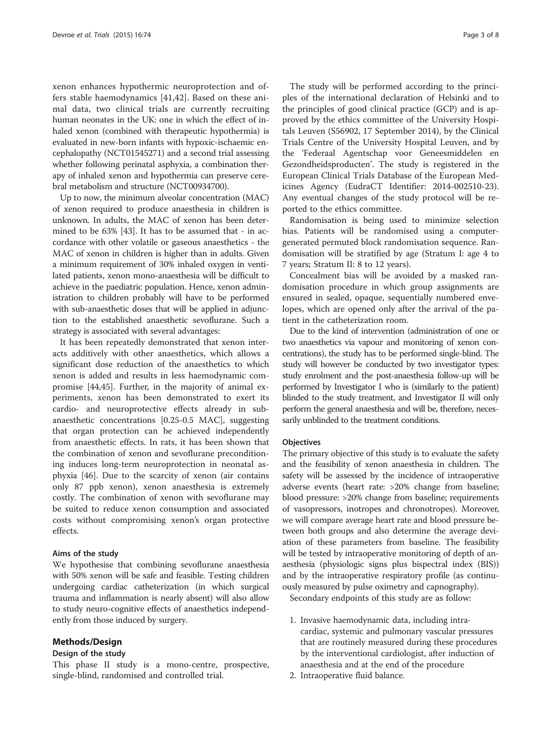xenon enhances hypothermic neuroprotection and offers stable haemodynamics [\[41](#page-7-0),[42\]](#page-7-0). Based on these animal data, two clinical trials are currently recruiting human neonates in the UK: one in which the effect of inhaled xenon (combined with therapeutic hypothermia) is evaluated in new-born infants with hypoxic-ischaemic encephalopathy (NCT01545271) and a second trial assessing whether following perinatal asphyxia, a combination therapy of inhaled xenon and hypothermia can preserve cerebral metabolism and structure (NCT00934700).

Up to now, the minimum alveolar concentration (MAC) of xenon required to produce anaesthesia in children is unknown. In adults, the MAC of xenon has been determined to be 63% [\[43\]](#page-7-0). It has to be assumed that - in accordance with other volatile or gaseous anaesthetics - the MAC of xenon in children is higher than in adults. Given a minimum requirement of 30% inhaled oxygen in ventilated patients, xenon mono-anaesthesia will be difficult to achieve in the paediatric population. Hence, xenon administration to children probably will have to be performed with sub-anaesthetic doses that will be applied in adjunction to the established anaesthetic sevoflurane. Such a strategy is associated with several advantages:

It has been repeatedly demonstrated that xenon interacts additively with other anaesthetics, which allows a significant dose reduction of the anaesthetics to which xenon is added and results in less haemodynamic compromise [\[44,45\]](#page-7-0). Further, in the majority of animal experiments, xenon has been demonstrated to exert its cardio- and neuroprotective effects already in subanaesthetic concentrations [0.25-0.5 MAC], suggesting that organ protection can be achieved independently from anaesthetic effects. In rats, it has been shown that the combination of xenon and sevoflurane preconditioning induces long-term neuroprotection in neonatal asphyxia [[46\]](#page-7-0). Due to the scarcity of xenon (air contains only 87 ppb xenon), xenon anaesthesia is extremely costly. The combination of xenon with sevoflurane may be suited to reduce xenon consumption and associated costs without compromising xenon's organ protective effects.

#### Aims of the study

We hypothesise that combining sevoflurane anaesthesia with 50% xenon will be safe and feasible. Testing children undergoing cardiac catheterization (in which surgical trauma and inflammation is nearly absent) will also allow to study neuro-cognitive effects of anaesthetics independently from those induced by surgery.

## Methods/Design

#### Design of the study

This phase II study is a mono-centre, prospective, single-blind, randomised and controlled trial.

The study will be performed according to the principles of the international declaration of Helsinki and to the principles of good clinical practice (GCP) and is approved by the ethics committee of the University Hospitals Leuven (S56902, 17 September 2014), by the Clinical Trials Centre of the University Hospital Leuven, and by the 'Federaal Agentschap voor Geneesmiddelen en Gezondheidsproducten'. The study is registered in the European Clinical Trials Database of the European Medicines Agency (EudraCT Identifier: 2014-002510-23). Any eventual changes of the study protocol will be reported to the ethics committee.

Randomisation is being used to minimize selection bias. Patients will be randomised using a computergenerated permuted block randomisation sequence. Randomisation will be stratified by age (Stratum I: age 4 to 7 years; Stratum II: 8 to 12 years).

Concealment bias will be avoided by a masked randomisation procedure in which group assignments are ensured in sealed, opaque, sequentially numbered envelopes, which are opened only after the arrival of the patient in the catheterization room.

Due to the kind of intervention (administration of one or two anaesthetics via vapour and monitoring of xenon concentrations), the study has to be performed single-blind. The study will however be conducted by two investigator types: study enrolment and the post-anaesthesia follow-up will be performed by Investigator I who is (similarly to the patient) blinded to the study treatment, and Investigator II will only perform the general anaesthesia and will be, therefore, necessarily unblinded to the treatment conditions.

### **Objectives**

The primary objective of this study is to evaluate the safety and the feasibility of xenon anaesthesia in children. The safety will be assessed by the incidence of intraoperative adverse events (heart rate: >20% change from baseline; blood pressure: >20% change from baseline; requirements of vasopressors, inotropes and chronotropes). Moreover, we will compare average heart rate and blood pressure between both groups and also determine the average deviation of these parameters from baseline. The feasibility will be tested by intraoperative monitoring of depth of anaesthesia (physiologic signs plus bispectral index (BIS)) and by the intraoperative respiratory profile (as continuously measured by pulse oximetry and capnography).

Secondary endpoints of this study are as follow:

- 1. Invasive haemodynamic data, including intracardiac, systemic and pulmonary vascular pressures that are routinely measured during these procedures by the interventional cardiologist, after induction of anaesthesia and at the end of the procedure
- 2. Intraoperative fluid balance.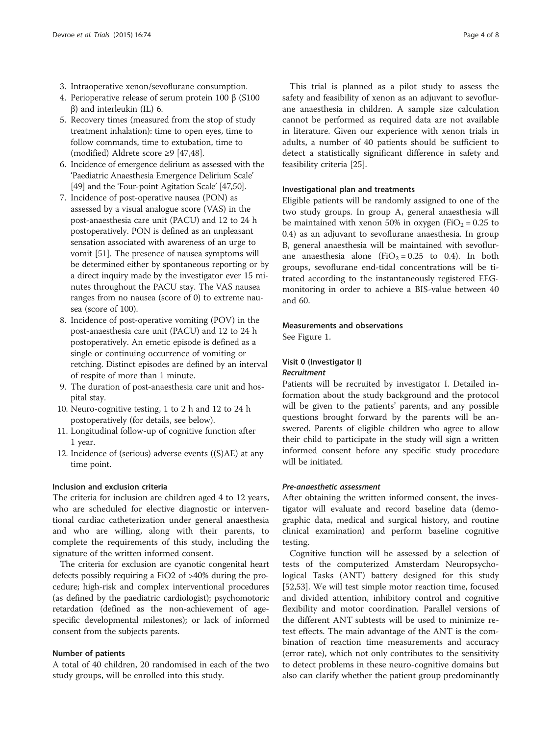- 3. Intraoperative xenon/sevoflurane consumption.
- 4. Perioperative release of serum protein 100 β (S100 β) and interleukin (IL) 6.
- 5. Recovery times (measured from the stop of study treatment inhalation): time to open eyes, time to follow commands, time to extubation, time to (modified) Aldrete score ≥9 [[47,48](#page-7-0)].
- 6. Incidence of emergence delirium as assessed with the 'Paediatric Anaesthesia Emergence Delirium Scale' [\[49\]](#page-7-0) and the 'Four-point Agitation Scale' [[47,50\]](#page-7-0).
- 7. Incidence of post-operative nausea (PON) as assessed by a visual analogue score (VAS) in the post-anaesthesia care unit (PACU) and 12 to 24 h postoperatively. PON is defined as an unpleasant sensation associated with awareness of an urge to vomit [[51](#page-7-0)]. The presence of nausea symptoms will be determined either by spontaneous reporting or by a direct inquiry made by the investigator ever 15 minutes throughout the PACU stay. The VAS nausea ranges from no nausea (score of 0) to extreme nausea (score of 100).
- 8. Incidence of post-operative vomiting (POV) in the post-anaesthesia care unit (PACU) and 12 to 24 h postoperatively. An emetic episode is defined as a single or continuing occurrence of vomiting or retching. Distinct episodes are defined by an interval of respite of more than 1 minute.
- 9. The duration of post-anaesthesia care unit and hospital stay.
- 10. Neuro-cognitive testing, 1 to 2 h and 12 to 24 h postoperatively (for details, see below).
- 11. Longitudinal follow-up of cognitive function after 1 year.
- 12. Incidence of (serious) adverse events ((S)AE) at any time point.

#### Inclusion and exclusion criteria

The criteria for inclusion are children aged 4 to 12 years, who are scheduled for elective diagnostic or interventional cardiac catheterization under general anaesthesia and who are willing, along with their parents, to complete the requirements of this study, including the signature of the written informed consent.

The criteria for exclusion are cyanotic congenital heart defects possibly requiring a FiO2 of >40% during the procedure; high-risk and complex interventional procedures (as defined by the paediatric cardiologist); psychomotoric retardation (defined as the non-achievement of agespecific developmental milestones); or lack of informed consent from the subjects parents.

## Number of patients

A total of 40 children, 20 randomised in each of the two study groups, will be enrolled into this study.

This trial is planned as a pilot study to assess the safety and feasibility of xenon as an adjuvant to sevoflurane anaesthesia in children. A sample size calculation cannot be performed as required data are not available in literature. Given our experience with xenon trials in adults, a number of 40 patients should be sufficient to detect a statistically significant difference in safety and feasibility criteria [\[25\]](#page-7-0).

#### Investigational plan and treatments

Eligible patients will be randomly assigned to one of the two study groups. In group A, general anaesthesia will be maintained with xenon 50% in oxygen (FiO<sub>2</sub> = 0.25 to 0.4) as an adjuvant to sevoflurane anaesthesia. In group B, general anaesthesia will be maintained with sevoflurane anaesthesia alone (FiO<sub>2</sub> = 0.25 to 0.4). In both groups, sevoflurane end-tidal concentrations will be titrated according to the instantaneously registered EEGmonitoring in order to achieve a BIS-value between 40 and 60.

#### Measurements and observations

See Figure [1](#page-4-0).

# Visit 0 (Investigator I) Recruitment

Patients will be recruited by investigator I. Detailed information about the study background and the protocol will be given to the patients' parents, and any possible questions brought forward by the parents will be answered. Parents of eligible children who agree to allow their child to participate in the study will sign a written informed consent before any specific study procedure will be initiated.

#### Pre-anaesthetic assessment

After obtaining the written informed consent, the investigator will evaluate and record baseline data (demographic data, medical and surgical history, and routine clinical examination) and perform baseline cognitive testing.

Cognitive function will be assessed by a selection of tests of the computerized Amsterdam Neuropsychological Tasks (ANT) battery designed for this study [[52,53\]](#page-7-0). We will test simple motor reaction time, focused and divided attention, inhibitory control and cognitive flexibility and motor coordination. Parallel versions of the different ANT subtests will be used to minimize retest effects. The main advantage of the ANT is the combination of reaction time measurements and accuracy (error rate), which not only contributes to the sensitivity to detect problems in these neuro-cognitive domains but also can clarify whether the patient group predominantly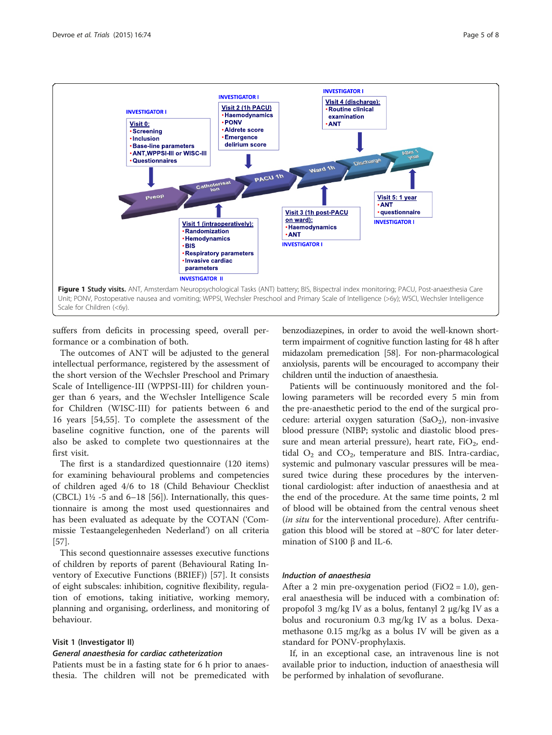<span id="page-4-0"></span>

suffers from deficits in processing speed, overall performance or a combination of both.

The outcomes of ANT will be adjusted to the general intellectual performance, registered by the assessment of the short version of the Wechsler Preschool and Primary Scale of Intelligence-III (WPPSI-III) for children younger than 6 years, and the Wechsler Intelligence Scale for Children (WISC-III) for patients between 6 and 16 years [\[54](#page-7-0),[55\]](#page-7-0). To complete the assessment of the baseline cognitive function, one of the parents will also be asked to complete two questionnaires at the first visit.

The first is a standardized questionnaire (120 items) for examining behavioural problems and competencies of children aged 4/6 to 18 (Child Behaviour Checklist (CBCL)  $1\frac{1}{2}$  -5 and 6–18 [\[56](#page-7-0)]). Internationally, this questionnaire is among the most used questionnaires and has been evaluated as adequate by the COTAN ('Commissie Testaangelegenheden Nederland') on all criteria [[57\]](#page-7-0).

This second questionnaire assesses executive functions of children by reports of parent (Behavioural Rating Inventory of Executive Functions (BRIEF)) [\[57\]](#page-7-0). It consists of eight subscales: inhibition, cognitive flexibility, regulation of emotions, taking initiative, working memory, planning and organising, orderliness, and monitoring of behaviour.

#### Visit 1 (Investigator II)

#### General anaesthesia for cardiac catheterization

Patients must be in a fasting state for 6 h prior to anaesthesia. The children will not be premedicated with benzodiazepines, in order to avoid the well-known shortterm impairment of cognitive function lasting for 48 h after midazolam premedication [\[58\]](#page-7-0). For non-pharmacological anxiolysis, parents will be encouraged to accompany their children until the induction of anaesthesia.

Patients will be continuously monitored and the following parameters will be recorded every 5 min from the pre-anaesthetic period to the end of the surgical procedure: arterial oxygen saturation  $(SaO<sub>2</sub>)$ , non-invasive blood pressure (NIBP; systolic and diastolic blood pressure and mean arterial pressure), heart rate,  $FiO_2$ , endtidal  $O_2$  and  $CO_2$ , temperature and BIS. Intra-cardiac, systemic and pulmonary vascular pressures will be measured twice during these procedures by the interventional cardiologist: after induction of anaesthesia and at the end of the procedure. At the same time points, 2 ml of blood will be obtained from the central venous sheet (in situ for the interventional procedure). After centrifugation this blood will be stored at −80°C for later determination of S100 β and IL-6.

#### Induction of anaesthesia

After a 2 min pre-oxygenation period (FiO2 = 1.0), general anaesthesia will be induced with a combination of: propofol 3 mg/kg IV as a bolus, fentanyl 2 μg/kg IV as a bolus and rocuronium 0.3 mg/kg IV as a bolus. Dexamethasone 0.15 mg/kg as a bolus IV will be given as a standard for PONV-prophylaxis.

If, in an exceptional case, an intravenous line is not available prior to induction, induction of anaesthesia will be performed by inhalation of sevoflurane.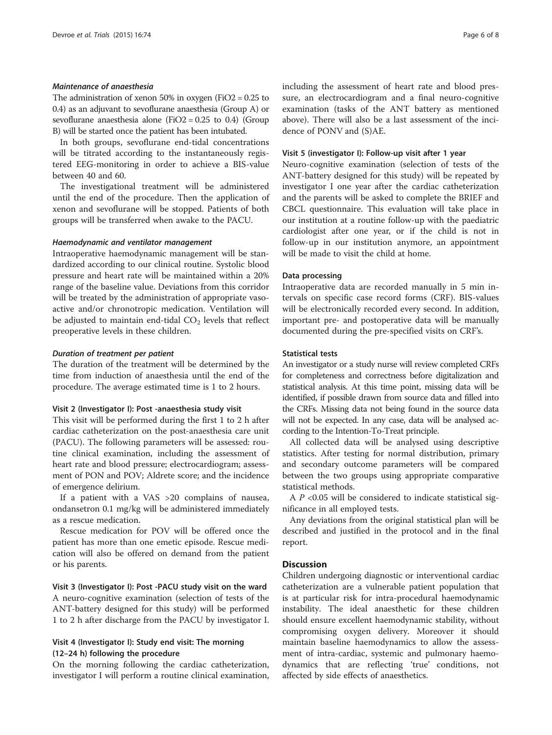## Maintenance of anaesthesia

The administration of xenon 50% in oxygen (FiO2 = 0.25 to 0.4) as an adjuvant to sevoflurane anaesthesia (Group A) or sevoflurane anaesthesia alone (FiO2 =  $0.25$  to 0.4) (Group B) will be started once the patient has been intubated.

In both groups, sevoflurane end-tidal concentrations will be titrated according to the instantaneously registered EEG-monitoring in order to achieve a BIS-value between 40 and 60.

The investigational treatment will be administered until the end of the procedure. Then the application of xenon and sevoflurane will be stopped. Patients of both groups will be transferred when awake to the PACU.

#### Haemodynamic and ventilator management

Intraoperative haemodynamic management will be standardized according to our clinical routine. Systolic blood pressure and heart rate will be maintained within a 20% range of the baseline value. Deviations from this corridor will be treated by the administration of appropriate vasoactive and/or chronotropic medication. Ventilation will be adjusted to maintain end-tidal  $CO<sub>2</sub>$  levels that reflect preoperative levels in these children.

# Duration of treatment per patient

The duration of the treatment will be determined by the time from induction of anaesthesia until the end of the procedure. The average estimated time is 1 to 2 hours.

#### Visit 2 (Investigator I): Post -anaesthesia study visit

This visit will be performed during the first 1 to 2 h after cardiac catheterization on the post-anaesthesia care unit (PACU). The following parameters will be assessed: routine clinical examination, including the assessment of heart rate and blood pressure; electrocardiogram; assessment of PON and POV; Aldrete score; and the incidence of emergence delirium.

If a patient with a VAS >20 complains of nausea, ondansetron 0.1 mg/kg will be administered immediately as a rescue medication.

Rescue medication for POV will be offered once the patient has more than one emetic episode. Rescue medication will also be offered on demand from the patient or his parents.

Visit 3 (Investigator I): Post -PACU study visit on the ward A neuro-cognitive examination (selection of tests of the ANT-battery designed for this study) will be performed 1 to 2 h after discharge from the PACU by investigator I.

# Visit 4 (Investigator I): Study end visit: The morning (12–24 h) following the procedure

On the morning following the cardiac catheterization, investigator I will perform a routine clinical examination, including the assessment of heart rate and blood pressure, an electrocardiogram and a final neuro-cognitive examination (tasks of the ANT battery as mentioned above). There will also be a last assessment of the incidence of PONV and (S)AE.

#### Visit 5 (investigator I): Follow-up visit after 1 year

Neuro-cognitive examination (selection of tests of the ANT-battery designed for this study) will be repeated by investigator I one year after the cardiac catheterization and the parents will be asked to complete the BRIEF and CBCL questionnaire. This evaluation will take place in our institution at a routine follow-up with the paediatric cardiologist after one year, or if the child is not in follow-up in our institution anymore, an appointment will be made to visit the child at home.

# Data processing

Intraoperative data are recorded manually in 5 min intervals on specific case record forms (CRF). BIS-values will be electronically recorded every second. In addition, important pre- and postoperative data will be manually documented during the pre-specified visits on CRF's.

#### Statistical tests

An investigator or a study nurse will review completed CRFs for completeness and correctness before digitalization and statistical analysis. At this time point, missing data will be identified, if possible drawn from source data and filled into the CRFs. Missing data not being found in the source data will not be expected. In any case, data will be analysed according to the Intention-To-Treat principle.

All collected data will be analysed using descriptive statistics. After testing for normal distribution, primary and secondary outcome parameters will be compared between the two groups using appropriate comparative statistical methods.

A  $P$  <0.05 will be considered to indicate statistical significance in all employed tests.

Any deviations from the original statistical plan will be described and justified in the protocol and in the final report.

# **Discussion**

Children undergoing diagnostic or interventional cardiac catheterization are a vulnerable patient population that is at particular risk for intra-procedural haemodynamic instability. The ideal anaesthetic for these children should ensure excellent haemodynamic stability, without compromising oxygen delivery. Moreover it should maintain baseline haemodynamics to allow the assessment of intra-cardiac, systemic and pulmonary haemodynamics that are reflecting 'true' conditions, not affected by side effects of anaesthetics.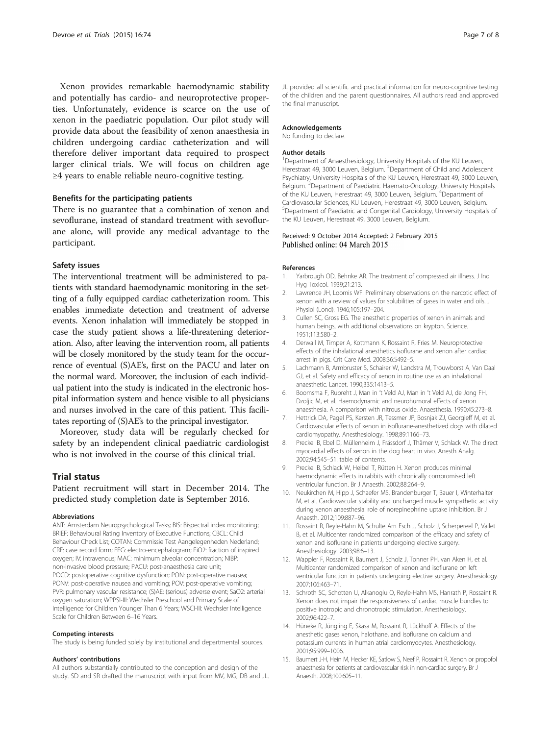<span id="page-6-0"></span>Xenon provides remarkable haemodynamic stability and potentially has cardio- and neuroprotective properties. Unfortunately, evidence is scarce on the use of xenon in the paediatric population. Our pilot study will provide data about the feasibility of xenon anaesthesia in children undergoing cardiac catheterization and will therefore deliver important data required to prospect larger clinical trials. We will focus on children age ≥4 years to enable reliable neuro-cognitive testing.

# Benefits for the participating patients

There is no guarantee that a combination of xenon and sevoflurane, instead of standard treatment with sevoflurane alone, will provide any medical advantage to the participant.

# Safety issues

The interventional treatment will be administered to patients with standard haemodynamic monitoring in the setting of a fully equipped cardiac catheterization room. This enables immediate detection and treatment of adverse events. Xenon inhalation will immediately be stopped in case the study patient shows a life-threatening deterioration. Also, after leaving the intervention room, all patients will be closely monitored by the study team for the occurrence of eventual (S)AE's, first on the PACU and later on the normal ward. Moreover, the inclusion of each individual patient into the study is indicated in the electronic hospital information system and hence visible to all physicians and nurses involved in the care of this patient. This facilitates reporting of (S)AE's to the principal investigator.

Moreover, study data will be regularly checked for safety by an independent clinical paediatric cardiologist who is not involved in the course of this clinical trial.

# Trial status

Patient recruitment will start in December 2014. The predicted study completion date is September 2016.

#### Abbreviations

ANT: Amsterdam Neuropsychological Tasks; BIS: Bispectral index monitoring; BRIEF: Behavioural Rating Inventory of Executive Functions; CBCL: Child Behaviour Check List; COTAN: Commissie Test Aangelegenheden Nederland; CRF: case record form; EEG: electro-encephalogram; FiO2: fraction of inspired oxygen; IV: intravenous; MAC: minimum alveolar concentration; NIBP: non-invasive blood pressure; PACU: post-anaesthesia care unit; POCD: postoperative cognitive dysfunction; PON: post-operative nausea; PONV: post-operative nausea and vomiting; POV: post-operative vomiting; PVR: pulmonary vascular resistance; (S)AE: (serious) adverse event; SaO2: arterial oxygen saturation; WPPSI-III: Wechsler Preschool and Primary Scale of Intelligence for Children Younger Than 6 Years; WSCI-III: Wechsler Intelligence Scale for Children Between 6–16 Years.

#### Competing interests

The study is being funded solely by institutional and departmental sources.

#### Authors' contributions

All authors substantially contributed to the conception and design of the study. SD and SR drafted the manuscript with input from MV, MG, DB and JL.

JL provided all scientific and practical information for neuro-cognitive testing of the children and the parent questionnaires. All authors read and approved the final manuscript.

#### Acknowledgements

No funding to declare.

#### Author details

<sup>1</sup>Department of Anaesthesiology, University Hospitals of the KU Leuven, Herestraat 49, 3000 Leuven, Belgium. <sup>2</sup>Department of Child and Adolescent Psychiatry, University Hospitals of the KU Leuven, Herestraat 49, 3000 Leuven, Belgium.<sup>3</sup>Department of Paediatric Haemato-Oncology, University Hospitals of the KU Leuven, Herestraat 49, 3000 Leuven, Belgium. <sup>4</sup>Department of Cardiovascular Sciences, KU Leuven, Herestraat 49, 3000 Leuven, Belgium. 5 Department of Paediatric and Congenital Cardiology, University Hospitals of the KU Leuven, Herestraat 49, 3000 Leuven, Belgium.

#### Received: 9 October 2014 Accepted: 2 February 2015 Published online: 04 March 2015

#### References

- Yarbrough OD, Behnke AR. The treatment of compressed air illness. J Ind Hyg Toxicol. 1939;21:213.
- 2. Lawrence JH, Loomis WF. Preliminary observations on the narcotic effect of xenon with a review of values for solubilities of gases in water and oils. J Physiol (Lond). 1946;105:197–204.
- 3. Cullen SC, Gross EG. The anesthetic properties of xenon in animals and human beings, with additional observations on krypton. Science. 1951;113:580–2.
- 4. Derwall M, Timper A, Kottmann K, Rossaint R, Fries M. Neuroprotective effects of the inhalational anesthetics isoflurane and xenon after cardiac arrest in pigs. Crit Care Med. 2008;36:S492–5.
- 5. Lachmann B, Armbruster S, Schairer W, Landstra M, Trouwborst A, Van Daal GJ, et al. Safety and efficacy of xenon in routine use as an inhalational anaesthetic. Lancet. 1990;335:1413–5.
- 6. Boomsma F, Rupreht J, Man in 't Veld AJ, Man in 't Veld AJ, de Jong FH, Dzoljic M, et al. Haemodynamic and neurohumoral effects of xenon anaesthesia. A comparison with nitrous oxide. Anaesthesia. 1990;45:273–8.
- 7. Hettrick DA, Pagel PS, Kersten JR, Tessmer JP, Bosnjak ZJ, Georgieff M, et al. Cardiovascular effects of xenon in isoflurane-anesthetized dogs with dilated cardiomyopathy. Anesthesiology. 1998;89:1166–73.
- 8. Preckel B, Ebel D, Müllenheim J, Frässdorf J, Thämer V, Schlack W. The direct myocardial effects of xenon in the dog heart in vivo. Anesth Analg. 2002;94:545–51. table of contents.
- 9. Preckel B, Schlack W, Heibel T, Rütten H. Xenon produces minimal haemodynamic effects in rabbits with chronically compromised left ventricular function. Br J Anaesth. 2002;88:264–9.
- 10. Neukirchen M, Hipp J, Schaefer MS, Brandenburger T, Bauer I, Winterhalter M, et al. Cardiovascular stability and unchanged muscle sympathetic activity during xenon anaesthesia: role of norepinephrine uptake inhibition. Br J Anaesth. 2012;109:887–96.
- 11. Rossaint R, Reyle-Hahn M, Schulte Am Esch J, Scholz J, Scherpereel P, Vallet B, et al. Multicenter randomized comparison of the efficacy and safety of xenon and isoflurane in patients undergoing elective surgery. Anesthesiology. 2003;98:6–13.
- 12. Wappler F, Rossaint R, Baumert J, Scholz J, Tonner PH, van Aken H, et al. Multicenter randomized comparison of xenon and isoflurane on left ventricular function in patients undergoing elective surgery. Anesthesiology. 2007;106:463–71.
- 13. Schroth SC, Schotten U, Alkanoglu O, Reyle-Hahn MS, Hanrath P, Rossaint R. Xenon does not impair the responsiveness of cardiac muscle bundles to positive inotropic and chronotropic stimulation. Anesthesiology. 2002;96:422–7.
- 14. Hüneke R, Jüngling E, Skasa M, Rossaint R, Lückhoff A. Effects of the anesthetic gases xenon, halothane, and isoflurane on calcium and potassium currents in human atrial cardiomyocytes. Anesthesiology. 2001;95:999–1006.
- 15. Baumert J-H, Hein M, Hecker KE, Satlow S, Neef P, Rossaint R. Xenon or propofol anaesthesia for patients at cardiovascular risk in non-cardiac surgery. Br J Anaesth. 2008;100:605–11.